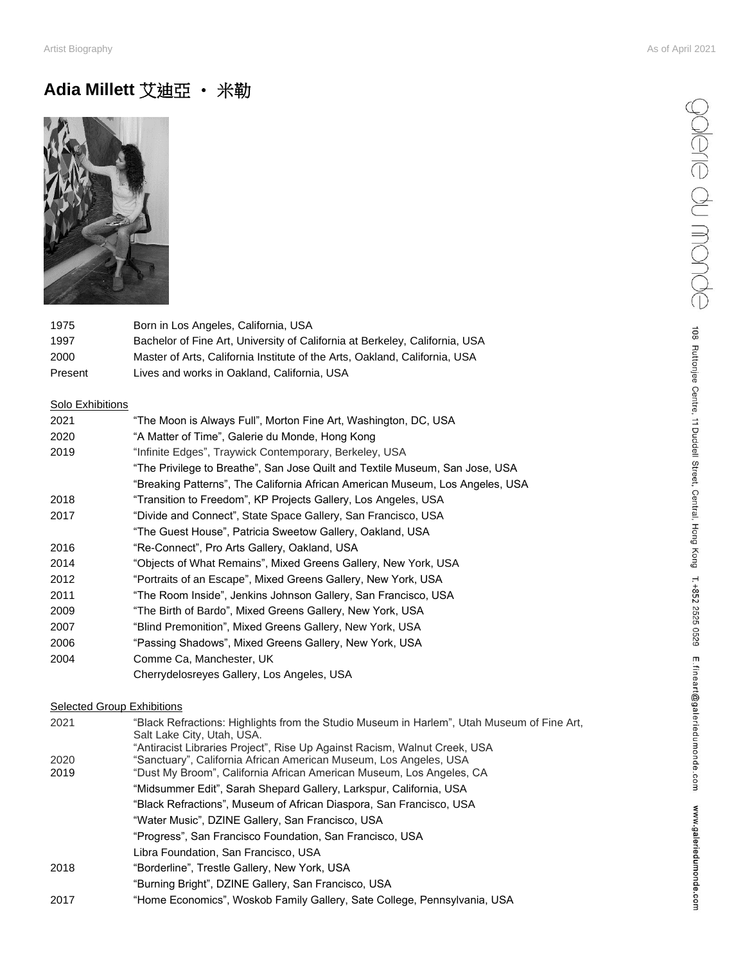# **Adia Millett** 艾迪亞 • 米勒



| 1975    | Born in Los Angeles, California, USA                                        |
|---------|-----------------------------------------------------------------------------|
| 1997    | Bachelor of Fine Art, University of California at Berkeley, California, USA |
| 2000    | Master of Arts. California Institute of the Arts. Oakland. California. USA  |
| Present | Lives and works in Oakland, California, USA                                 |

#### Solo Exhibitions

| 2021 | "The Moon is Always Full", Morton Fine Art, Washington, DC, USA               |
|------|-------------------------------------------------------------------------------|
| 2020 | "A Matter of Time", Galerie du Monde, Hong Kong                               |
| 2019 | "Infinite Edges", Traywick Contemporary, Berkeley, USA                        |
|      | "The Privilege to Breathe", San Jose Quilt and Textile Museum, San Jose, USA  |
|      | "Breaking Patterns", The California African American Museum, Los Angeles, USA |
| 2018 | "Transition to Freedom", KP Projects Gallery, Los Angeles, USA                |
| 2017 | "Divide and Connect", State Space Gallery, San Francisco, USA                 |
|      | "The Guest House", Patricia Sweetow Gallery, Oakland, USA                     |
| 2016 | "Re-Connect", Pro Arts Gallery, Oakland, USA                                  |
| 2014 | "Objects of What Remains", Mixed Greens Gallery, New York, USA                |
| 2012 | "Portraits of an Escape", Mixed Greens Gallery, New York, USA                 |
| 2011 | "The Room Inside", Jenkins Johnson Gallery, San Francisco, USA                |
| 2009 | "The Birth of Bardo", Mixed Greens Gallery, New York, USA                     |
| 2007 | "Blind Premonition", Mixed Greens Gallery, New York, USA                      |
| 2006 | "Passing Shadows", Mixed Greens Gallery, New York, USA                        |
| 2004 | Comme Ca, Manchester, UK                                                      |
|      | Cherrydelosreyes Gallery, Los Angeles, USA                                    |

### **Selected Group Exhibitions**

| 2021 | "Black Refractions: Highlights from the Studio Museum in Harlem", Utah Museum of Fine Art, |
|------|--------------------------------------------------------------------------------------------|
|      | Salt Lake City, Utah, USA.                                                                 |
|      | "Antiracist Libraries Project", Rise Up Against Racism, Walnut Creek, USA                  |
| 2020 | "Sanctuary", California African American Museum, Los Angeles, USA                          |
| 2019 | "Dust My Broom", California African American Museum, Los Angeles, CA                       |
|      | "Midsummer Edit", Sarah Shepard Gallery, Larkspur, California, USA                         |
|      | "Black Refractions", Museum of African Diaspora, San Francisco, USA                        |
|      | "Water Music", DZINE Gallery, San Francisco, USA                                           |
|      | "Progress", San Francisco Foundation, San Francisco, USA                                   |
|      | Libra Foundation, San Francisco, USA                                                       |
| 2018 | "Borderline", Trestle Gallery, New York, USA                                               |
|      | "Burning Bright", DZINE Gallery, San Francisco, USA                                        |
| 2017 | "Home Economics", Woskob Family Gallery, Sate College, Pennsylvania, USA                   |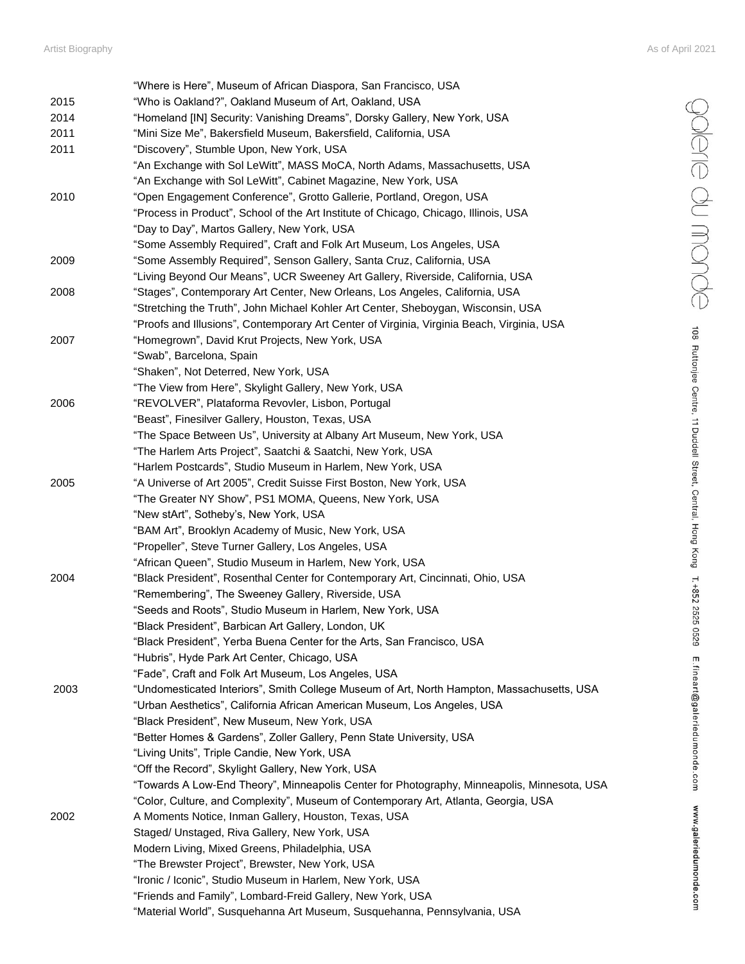|      | "Where is Here", Museum of African Diaspora, San Francisco, USA                             |
|------|---------------------------------------------------------------------------------------------|
| 2015 | "Who is Oakland?", Oakland Museum of Art, Oakland, USA                                      |
| 2014 | "Homeland [IN] Security: Vanishing Dreams", Dorsky Gallery, New York, USA                   |
| 2011 | "Mini Size Me", Bakersfield Museum, Bakersfield, California, USA                            |
| 2011 | "Discovery", Stumble Upon, New York, USA                                                    |
|      | "An Exchange with Sol LeWitt", MASS MoCA, North Adams, Massachusetts, USA                   |
|      | "An Exchange with Sol LeWitt", Cabinet Magazine, New York, USA                              |
| 2010 | "Open Engagement Conference", Grotto Gallerie, Portland, Oregon, USA                        |
|      | "Process in Product", School of the Art Institute of Chicago, Chicago, Illinois, USA        |
|      | "Day to Day", Martos Gallery, New York, USA                                                 |
|      | "Some Assembly Required", Craft and Folk Art Museum, Los Angeles, USA                       |
| 2009 | "Some Assembly Required", Senson Gallery, Santa Cruz, California, USA                       |
|      | "Living Beyond Our Means", UCR Sweeney Art Gallery, Riverside, California, USA              |
| 2008 | "Stages", Contemporary Art Center, New Orleans, Los Angeles, California, USA                |
|      | "Stretching the Truth", John Michael Kohler Art Center, Sheboygan, Wisconsin, USA           |
|      | "Proofs and Illusions", Contemporary Art Center of Virginia, Virginia Beach, Virginia, USA  |
| 2007 | "Homegrown", David Krut Projects, New York, USA                                             |
|      | "Swab", Barcelona, Spain                                                                    |
|      | "Shaken", Not Deterred, New York, USA                                                       |
|      | "The View from Here", Skylight Gallery, New York, USA                                       |
| 2006 | "REVOLVER", Plataforma Revovler, Lisbon, Portugal                                           |
|      | "Beast", Finesilver Gallery, Houston, Texas, USA                                            |
|      | "The Space Between Us", University at Albany Art Museum, New York, USA                      |
|      | "The Harlem Arts Project", Saatchi & Saatchi, New York, USA                                 |
|      | "Harlem Postcards", Studio Museum in Harlem, New York, USA                                  |
| 2005 | "A Universe of Art 2005", Credit Suisse First Boston, New York, USA                         |
|      | "The Greater NY Show", PS1 MOMA, Queens, New York, USA                                      |
|      | "New stArt", Sotheby's, New York, USA                                                       |
|      | "BAM Art", Brooklyn Academy of Music, New York, USA                                         |
|      | "Propeller", Steve Turner Gallery, Los Angeles, USA                                         |
|      | "African Queen", Studio Museum in Harlem, New York, USA                                     |
| 2004 | "Black President", Rosenthal Center for Contemporary Art, Cincinnati, Ohio, USA             |
|      | "Remembering", The Sweeney Gallery, Riverside, USA                                          |
|      | "Seeds and Roots", Studio Museum in Harlem, New York, USA                                   |
|      | "Black President", Barbican Art Gallery, London, UK                                         |
|      | "Black President", Yerba Buena Center for the Arts, San Francisco, USA                      |
|      | "Hubris", Hyde Park Art Center, Chicago, USA                                                |
|      | "Fade", Craft and Folk Art Museum, Los Angeles, USA                                         |
| 2003 | "Undomesticated Interiors", Smith College Museum of Art, North Hampton, Massachusetts, USA  |
|      | "Urban Aesthetics", California African American Museum, Los Angeles, USA                    |
|      | "Black President", New Museum, New York, USA                                                |
|      | "Better Homes & Gardens", Zoller Gallery, Penn State University, USA                        |
|      | "Living Units", Triple Candie, New York, USA                                                |
|      | "Off the Record", Skylight Gallery, New York, USA                                           |
|      | "Towards A Low-End Theory", Minneapolis Center for Photography, Minneapolis, Minnesota, USA |
|      | "Color, Culture, and Complexity", Museum of Contemporary Art, Atlanta, Georgia, USA         |
| 2002 | A Moments Notice, Inman Gallery, Houston, Texas, USA                                        |
|      | Staged/ Unstaged, Riva Gallery, New York, USA                                               |
|      |                                                                                             |
|      | Modern Living, Mixed Greens, Philadelphia, USA                                              |
|      | "The Brewster Project", Brewster, New York, USA                                             |
|      | "Ironic / Iconic", Studio Museum in Harlem, New York, USA                                   |
|      | "Friends and Family", Lombard-Freid Gallery, New York, USA                                  |
|      | "Material World", Susquehanna Art Museum, Susquehanna, Pennsylvania, USA                    |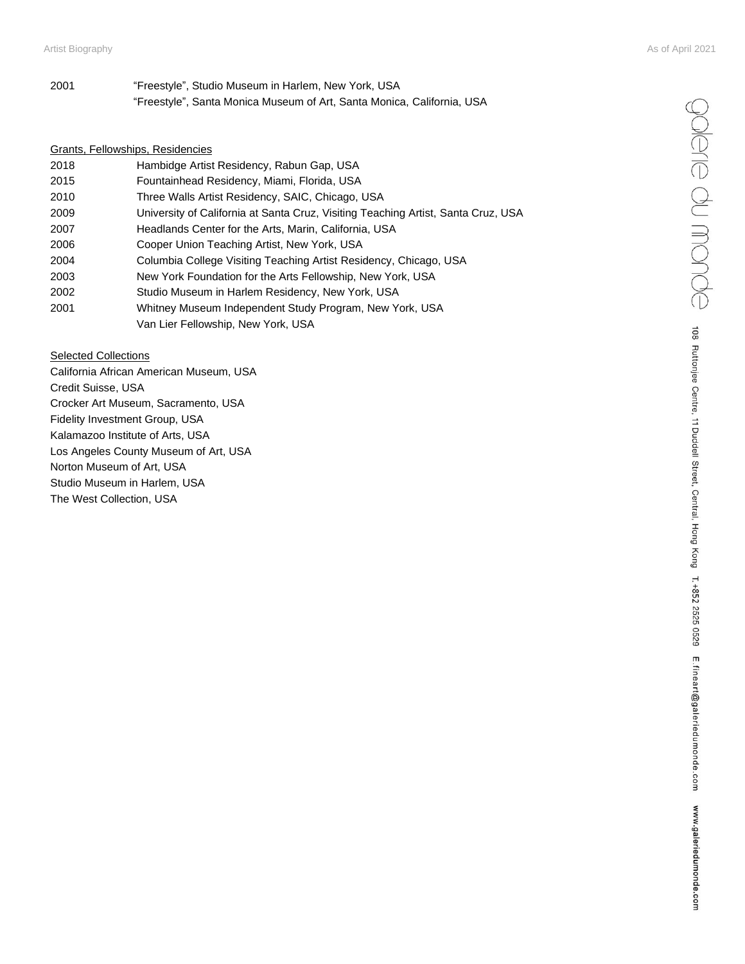| 2001 | "Freestyle", Studio Museum in Harlem, New York, USA                    |
|------|------------------------------------------------------------------------|
|      | "Freestyle", Santa Monica Museum of Art, Santa Monica, California, USA |

## Grants, Fellowships, Residencies

| 2018 | Hambidge Artist Residency, Rabun Gap, USA                                         |
|------|-----------------------------------------------------------------------------------|
| 2015 | Fountainhead Residency, Miami, Florida, USA                                       |
| 2010 | Three Walls Artist Residency, SAIC, Chicago, USA                                  |
| 2009 | University of California at Santa Cruz, Visiting Teaching Artist, Santa Cruz, USA |
| 2007 | Headlands Center for the Arts, Marin, California, USA                             |
| 2006 | Cooper Union Teaching Artist, New York, USA                                       |
| 2004 | Columbia College Visiting Teaching Artist Residency, Chicago, USA                 |
| 2003 | New York Foundation for the Arts Fellowship, New York, USA                        |
| 2002 | Studio Museum in Harlem Residency, New York, USA                                  |
| 2001 | Whitney Museum Independent Study Program, New York, USA                           |
|      | Van Lier Fellowship, New York, USA                                                |

#### Selected Collections

California African American Museum, USA Credit Suisse, USA Crocker Art Museum, Sacramento, USA Fidelity Investment Group, USA Kalamazoo Institute of Arts, USA Los Angeles County Museum of Art, USA Norton Museum of Art, USA Studio Museum in Harlem, USA The West Collection, USA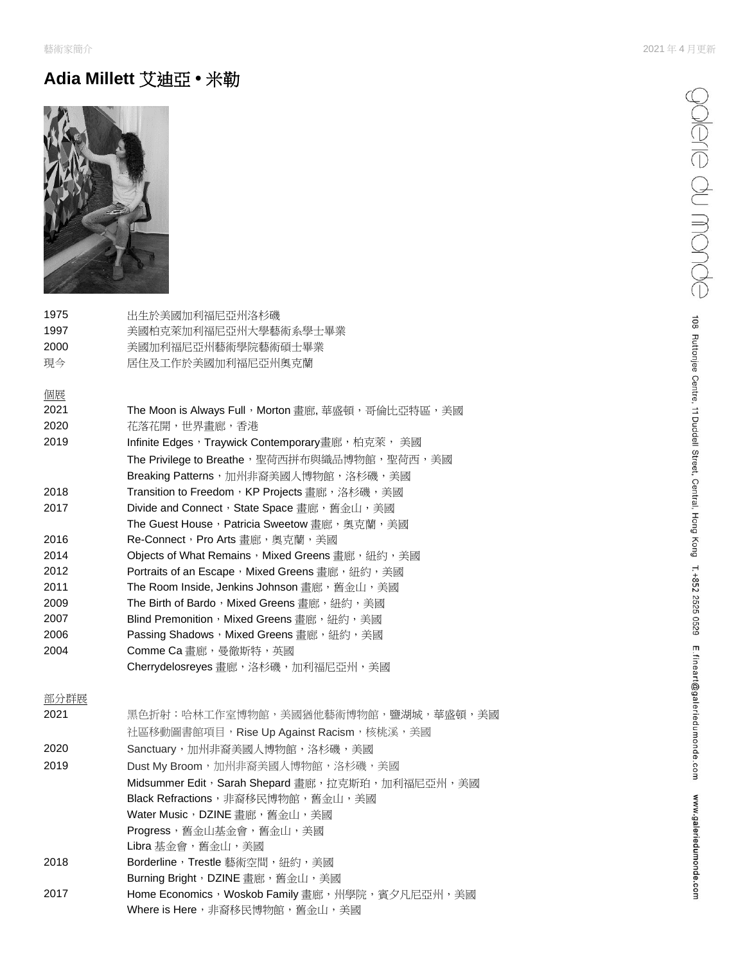## **Adia Millett** 艾迪亞 **•** 米勒



| 1975 | 出生於美國加利福尼亞州洛杉磯                                      |
|------|-----------------------------------------------------|
| 1997 | 美國柏克萊加利福尼亞州大學藝術系學士畢業                                |
| 2000 | 美國加利福尼亞州藝術學院藝術碩士畢業                                  |
| 現今   | 居住及工作於美國加利福尼亞州奧克蘭                                   |
| 個展   |                                                     |
| 2021 | The Moon is Always Full, Morton 畫廊, 華盛頓, 哥倫比亞特區, 美國 |
| 2020 | 花落花開,世界畫廊,香港                                        |
| 2019 | Infinite Edges,Traywick Contemporary畫廊,柏克萊, 美國      |
|      | The Privilege to Breathe,聖荷西拼布與織品博物館,聖荷西,美國         |
|      | Breaking Patterns,加州非裔美國人博物館,洛杉磯,美國                 |
| 2018 | Transition to Freedom,KP Projects 畫廊,洛杉磯,美國         |
| 2017 | Divide and Connect,State Space 書廊,舊金山,美國            |
|      | The Guest House,Patricia Sweetow 書廊,奧克蘭,美國          |
| 2016 | Re-Connect,Pro Arts 畫廊,奧克蘭,美國                       |
| 2014 | Objects of What Remains, Mixed Greens 書廊, 紐約, 美國    |
| 2012 | Portraits of an Escape,Mixed Greens 畫廊,紐約,美國        |
| 2011 | The Room Inside, Jenkins Johnson 畫廊,舊金山,美國          |
| 2009 | The Birth of Bardo,Mixed Greens 書廊,紐約,美國            |
| 2007 | Blind Premonition,Mixed Greens 書廊,紐約,美國             |
| 2006 | Passing Shadows,Mixed Greens 畫廊,紐約,美國               |
| 2004 | Comme Ca 書廊,曼徹斯特,英國                                 |
|      | Cherrydelosreyes 畫廊,洛杉磯,加利福尼亞州,美國                   |
| 部分群展 |                                                     |

| 2021 | 黑色折射:哈林工作室博物館,美國猶他藝術博物館,鹽湖城,華盛頓,美國                 |
|------|----------------------------------------------------|
|      | 社區移動圖書館項目,Rise Up Against Racism,核桃溪,美國            |
| 2020 | Sanctuary,加州非裔美國人博物館,洛杉磯,美國                        |
| 2019 | Dust My Broom, 加州非裔美國人博物館, 洛杉磯, 美國                 |
|      | Midsummer Edit, Sarah Shepard 畫廊, 拉克斯珀, 加利福尼亞州, 美國 |
|      | Black Refractions, 非裔移民博物館, 舊金山, 美國                |
|      | Water Music, DZINE 畫廊, 舊金山, 美國                     |
|      | Progress,舊金山基金會,舊金山,美國                             |
|      | Libra 基金會,舊金山,美國                                   |
| 2018 | Borderline, Trestle 藝術空間, 紐約, 美國                   |
|      | Burning Bright,DZINE 書廊,舊金山,美國                     |
| 2017 | Home Economics, Woskob Family 畫廊, 州學院, 賓夕凡尼亞州, 美國  |
|      | Where is Here,非裔移民博物館,舊金山,美國                       |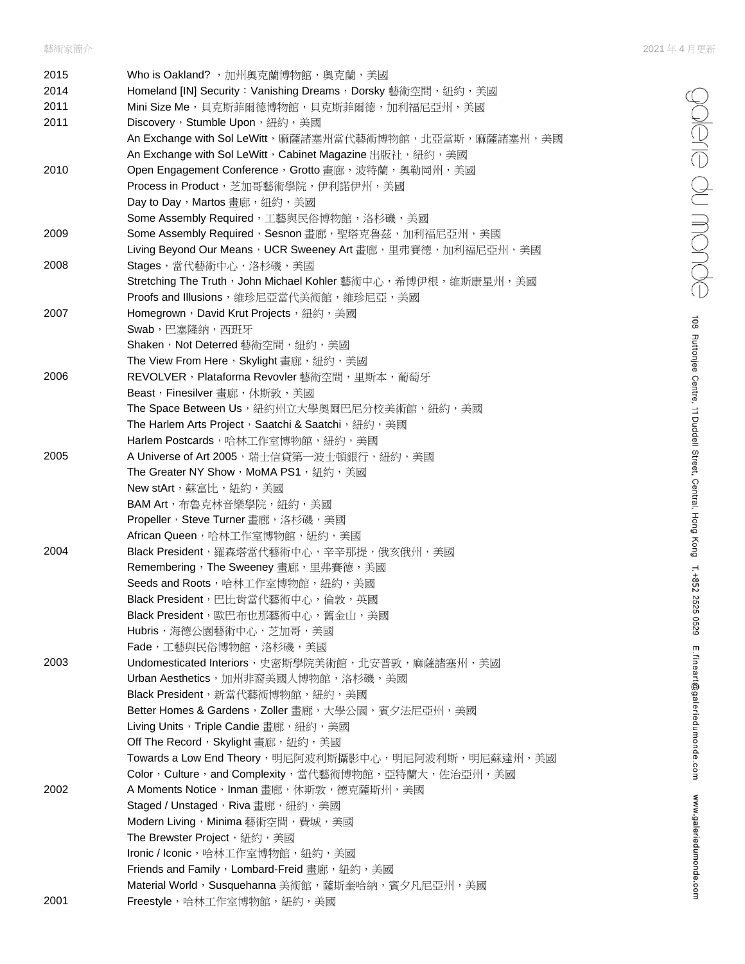ediere du monde

108 Ruttonjee Centre, 11 Duddell Street, Central, Hong Kong T. +852 2525 0529 E.fineart@galeriedumonde.com www.galeriedumonde.com

| 2015 | Who is Oakland?, 加州奧克蘭博物館, 奧克蘭, 美國                            |
|------|---------------------------------------------------------------|
| 2014 | Homeland [IN] Security: Vanishing Dreams, Dorsky 藝術空間, 紐約, 美國 |
| 2011 | Mini Size Me, 貝克斯菲爾德博物館, 貝克斯菲爾德, 加利福尼亞州, 美國                   |
| 2011 | Discovery, Stumble Upon, 紐約, 美國                               |
|      | An Exchange with Sol LeWitt,麻薩諸塞州當代藝術博物館,北亞當斯,麻薩諸塞州,美國        |
|      | An Exchange with Sol LeWitt, Cabinet Magazine 出版社,紐約,美國       |
| 2010 | Open Engagement Conference, Grotto 畫廊, 波特蘭, 奧勒岡州, 美國          |
|      | Process in Product, 芝加哥藝術學院, 伊利諾伊州, 美國                        |
|      | Day to Day, Martos 畫廊, 紐約, 美國                                 |
|      | Some Assembly Required,工藝與民俗博物館,洛杉磯,美國                        |
| 2009 | Some Assembly Required, Sesnon 畫廊, 聖塔克魯茲, 加利福尼亞州, 美國          |
|      | Living Beyond Our Means,UCR Sweeney Art 畫廊,里弗賽德,加利福尼亞州,美國     |
| 2008 | Stages,當代藝術中心,洛杉磯,美國                                          |
|      | Stretching The Truth,John Michael Kohler 藝術中心,希博伊根,維斯康星州,美國   |
|      | Proofs and Illusions, 維珍尼亞當代美術館, 維珍尼亞, 美國                     |
| 2007 | Homegrown, David Krut Projects, 紐約, 美國                        |
|      | Swab,巴塞隆納,西班牙                                                 |
|      | Shaken, Not Deterred 藝術空間, 紐約, 美國                             |
|      | The View From Here,Skylight 畫廊,紐約,美國                          |
| 2006 | REVOLVER, Plataforma Revovler 藝術空間, 里斯本, 葡萄牙                  |
|      | Beast, Finesilver 書廊, 休斯敦, 美國                                 |
|      | The Space Between Us,紐約州立大學奧爾巴尼分校美術館,紐約,美國                    |
|      | The Harlem Arts Project, Saatchi & Saatchi, 紐約, 美國            |
|      | Harlem Postcards,哈林工作室博物館,紐約,美國                               |
| 2005 | A Universe of Art 2005, 瑞士信貸第一波士頓銀行, 紐約, 美國                   |
|      | The Greater NY Show, MoMA PS1, 紐約, 美國                         |
|      | New stArt,蘇富比,紐約,美國<br>BAM Art, 布魯克林音樂學院, 紐約, 美國              |
|      | Propeller, Steve Turner 畫廊, 洛杉磯, 美國                           |
|      | African Queen,哈林工作室博物館,紐約,美國                                  |
| 2004 | Black President, 羅森塔當代藝術中心, 辛辛那提, 俄亥俄州, 美國                    |
|      | Remembering, The Sweeney 畫廊, 里弗賽德, 美國                         |
|      | Seeds and Roots,哈林工作室博物館,紐約,美國                                |
|      | Black President, 巴比肯當代藝術中心, 倫敦, 英國                            |
|      | Black President, 歐巴布也那藝術中心, 舊金山, 美國                           |
|      | Hubris,海德公園藝術中心,芝加哥,美國                                        |
|      | <b>Fade</b> ,工藝與民俗博物館,洛杉磯,美國                                  |
| 2003 | Undomesticated Interiors, 史密斯學院美術館, 北安普敦, 麻薩諸塞州, 美國           |
|      | Urban Aesthetics,加州非裔美國人博物館,洛杉磯,美國                            |
|      | Black President, 新當代藝術博物館, 紐約, 美國                             |
|      | Better Homes & Gardens,Zoller 畫廊,大學公園,賓夕法尼亞州,美國               |
|      | Living Units, Triple Candie 畫廊, 紐約, 美國                        |
|      | Off The Record, Skylight 畫廊, 紐約, 美國                           |
|      | Towards a Low End Theory,明尼阿波利斯攝影中心,明尼阿波利斯,明尼蘇達州,美國           |
|      | Color, Culture, and Complexity, 當代藝術博物館, 亞特蘭大, 佐治亞州, 美國       |
| 2002 | A Moments Notice, Inman 畫廊, 休斯敦, 德克薩斯州, 美國                    |
|      | Staged / Unstaged, Riva 畫廊, 紐約, 美國                            |
|      | Modern Living, Minima 藝術空間,費城,美國                              |
|      | The Brewster Project, 紐約, 美國                                  |
|      | Ironic / Iconic,哈林工作室博物館,紐約,美國                                |
|      | Friends and Family, Lombard-Freid 畫廊, 紐約, 美國                  |
|      | Material World, Susquehanna 美術館,薩斯奎哈納, 賓夕凡尼亞州, 美國             |
| 2001 | Freestyle,哈林工作室博物館,紐約,美國                                      |